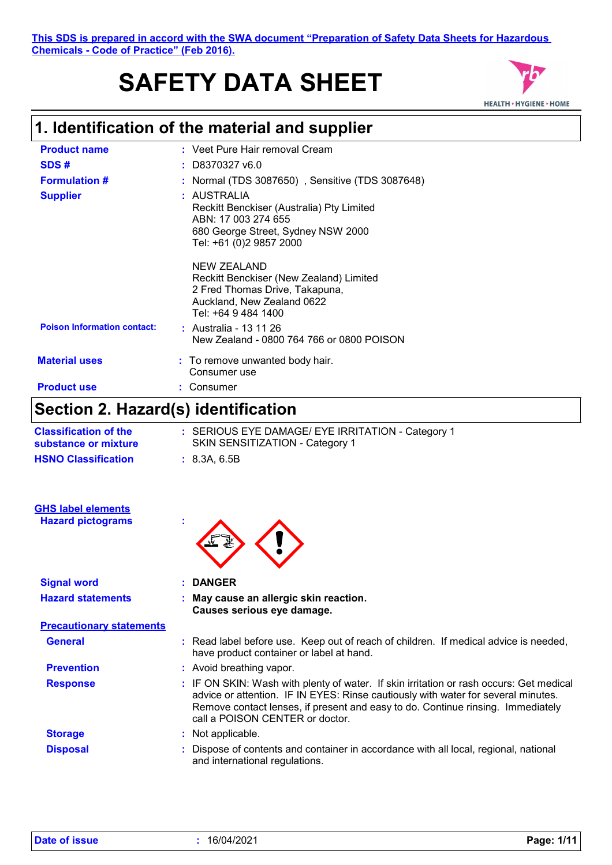# **SAFETY DATA SHEET**



# **1. Identification of the material and supplier**

| <b>Product name</b>                 | : Veet Pure Hair removal Cream                                                                                                                   |  |
|-------------------------------------|--------------------------------------------------------------------------------------------------------------------------------------------------|--|
| SDS#                                | $:$ D8370327 v6.0                                                                                                                                |  |
| <b>Formulation #</b>                | : Normal (TDS 3087650), Sensitive (TDS 3087648)                                                                                                  |  |
| <b>Supplier</b>                     | : AUSTRALIA<br>Reckitt Benckiser (Australia) Pty Limited<br>ABN: 17 003 274 655<br>680 George Street, Sydney NSW 2000<br>Tel: +61 (0)2 9857 2000 |  |
|                                     | NEW ZEALAND<br>Reckitt Benckiser (New Zealand) Limited<br>2 Fred Thomas Drive, Takapuna,<br>Auckland, New Zealand 0622<br>Tel: +64 9 484 1400    |  |
| <b>Poison Information contact:</b>  | : Australia - 13 11 26<br>New Zealand - 0800 764 766 or 0800 POISON                                                                              |  |
| <b>Material uses</b>                | : To remove unwanted body hair.<br>Consumer use                                                                                                  |  |
| <b>Product use</b>                  | : Consumer                                                                                                                                       |  |
| Section 2. Hazard(s) identification |                                                                                                                                                  |  |

| <b>Classification of the</b> | : SERIOUS EYE DAMAGE/ EYE IRRITATION - Category 1 |
|------------------------------|---------------------------------------------------|
| substance or mixture         | SKIN SENSITIZATION - Category 1                   |
| <b>HSNO Classification</b>   | : 8.3A.6.5B                                       |

| <b>GHS label elements</b><br><b>Hazard pictograms</b> | ÷                                                                                                                                                                                                                                                                                                  |
|-------------------------------------------------------|----------------------------------------------------------------------------------------------------------------------------------------------------------------------------------------------------------------------------------------------------------------------------------------------------|
| <b>Signal word</b>                                    | : DANGER                                                                                                                                                                                                                                                                                           |
| <b>Hazard statements</b>                              | : May cause an allergic skin reaction.<br>Causes serious eye damage.                                                                                                                                                                                                                               |
| <b>Precautionary statements</b>                       |                                                                                                                                                                                                                                                                                                    |
| <b>General</b>                                        | : Read label before use. Keep out of reach of children. If medical advice is needed,<br>have product container or label at hand.                                                                                                                                                                   |
| <b>Prevention</b>                                     | : Avoid breathing vapor.                                                                                                                                                                                                                                                                           |
| <b>Response</b>                                       | : IF ON SKIN: Wash with plenty of water. If skin irritation or rash occurs: Get medical<br>advice or attention. IF IN EYES: Rinse cautiously with water for several minutes.<br>Remove contact lenses, if present and easy to do. Continue rinsing. Immediately<br>call a POISON CENTER or doctor. |
| <b>Storage</b>                                        | : Not applicable.                                                                                                                                                                                                                                                                                  |
| <b>Disposal</b>                                       | Dispose of contents and container in accordance with all local, regional, national<br>and international regulations.                                                                                                                                                                               |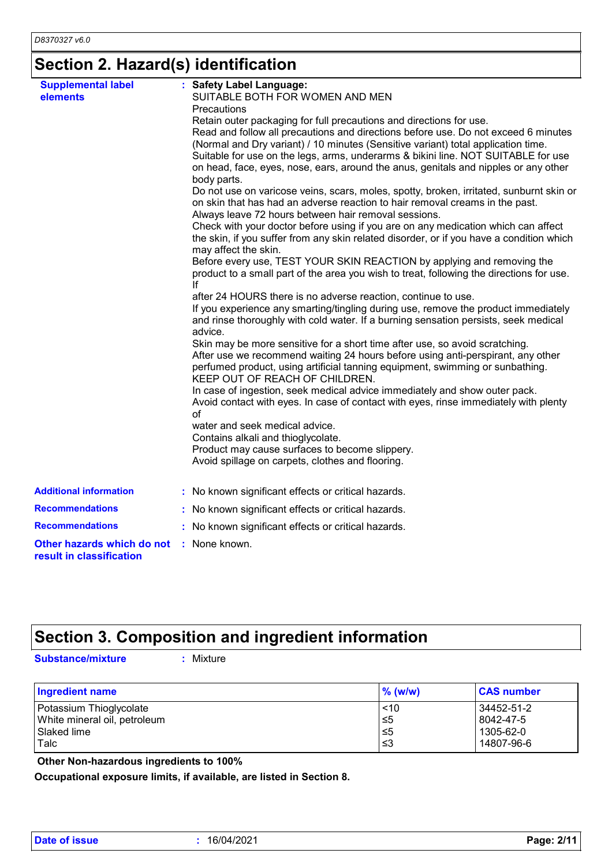# **Section 2. Hazard(s) identification**

| <b>Supplemental label</b>                              | : Safety Label Language:                                                                                                                                                |
|--------------------------------------------------------|-------------------------------------------------------------------------------------------------------------------------------------------------------------------------|
| elements                                               | SUITABLE BOTH FOR WOMEN AND MEN                                                                                                                                         |
|                                                        | Precautions                                                                                                                                                             |
|                                                        | Retain outer packaging for full precautions and directions for use.                                                                                                     |
|                                                        | Read and follow all precautions and directions before use. Do not exceed 6 minutes                                                                                      |
|                                                        | (Normal and Dry variant) / 10 minutes (Sensitive variant) total application time.                                                                                       |
|                                                        | Suitable for use on the legs, arms, underarms & bikini line. NOT SUITABLE for use                                                                                       |
|                                                        | on head, face, eyes, nose, ears, around the anus, genitals and nipples or any other<br>body parts.                                                                      |
|                                                        | Do not use on varicose veins, scars, moles, spotty, broken, irritated, sunburnt skin or<br>on skin that has had an adverse reaction to hair removal creams in the past. |
|                                                        | Always leave 72 hours between hair removal sessions.                                                                                                                    |
|                                                        | Check with your doctor before using if you are on any medication which can affect                                                                                       |
|                                                        | the skin, if you suffer from any skin related disorder, or if you have a condition which<br>may affect the skin.                                                        |
|                                                        | Before every use, TEST YOUR SKIN REACTION by applying and removing the                                                                                                  |
|                                                        | product to a small part of the area you wish to treat, following the directions for use.                                                                                |
|                                                        | lf                                                                                                                                                                      |
|                                                        | after 24 HOURS there is no adverse reaction, continue to use.                                                                                                           |
|                                                        | If you experience any smarting/tingling during use, remove the product immediately                                                                                      |
|                                                        | and rinse thoroughly with cold water. If a burning sensation persists, seek medical<br>advice.                                                                          |
|                                                        | Skin may be more sensitive for a short time after use, so avoid scratching.                                                                                             |
|                                                        | After use we recommend waiting 24 hours before using anti-perspirant, any other                                                                                         |
|                                                        | perfumed product, using artificial tanning equipment, swimming or sunbathing.<br>KEEP OUT OF REACH OF CHILDREN.                                                         |
|                                                        | In case of ingestion, seek medical advice immediately and show outer pack.                                                                                              |
|                                                        | Avoid contact with eyes. In case of contact with eyes, rinse immediately with plenty                                                                                    |
|                                                        | of                                                                                                                                                                      |
|                                                        | water and seek medical advice.                                                                                                                                          |
|                                                        | Contains alkali and thioglycolate.                                                                                                                                      |
|                                                        | Product may cause surfaces to become slippery.                                                                                                                          |
|                                                        | Avoid spillage on carpets, clothes and flooring.                                                                                                                        |
|                                                        |                                                                                                                                                                         |
| <b>Additional information</b>                          | : No known significant effects or critical hazards.                                                                                                                     |
| <b>Recommendations</b>                                 | : No known significant effects or critical hazards.                                                                                                                     |
| <b>Recommendations</b>                                 | : No known significant effects or critical hazards.                                                                                                                     |
| Other hazards which do not<br>result in classification | : None known.                                                                                                                                                           |

### **Section 3. Composition and ingredient information**

**Substance/mixture :**

: Mixture

| <b>Ingredient name</b>       | $%$ (w/w) | <b>CAS number</b> |
|------------------------------|-----------|-------------------|
| Potassium Thioglycolate      | < 10      | 34452-51-2        |
| White mineral oil, petroleum | ≤5        | 8042-47-5         |
| Slaked lime                  | ≤5        | 1305-62-0         |
| Talc                         | 3≥        | 14807-96-6        |

 **Other Non-hazardous ingredients to 100%**

**Occupational exposure limits, if available, are listed in Section 8.**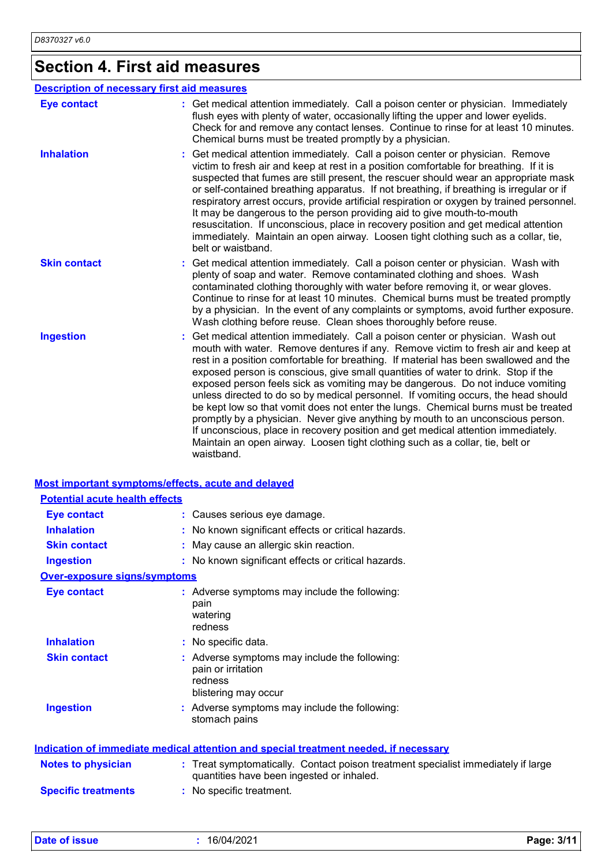# **Section 4. First aid measures**

|                     | <b>Description of necessary first aid measures</b>                                                                                                                                                                                                                                                                                                                                                                                                                                                                                                                                                                                                                                                                                                                                                                                                                                   |
|---------------------|--------------------------------------------------------------------------------------------------------------------------------------------------------------------------------------------------------------------------------------------------------------------------------------------------------------------------------------------------------------------------------------------------------------------------------------------------------------------------------------------------------------------------------------------------------------------------------------------------------------------------------------------------------------------------------------------------------------------------------------------------------------------------------------------------------------------------------------------------------------------------------------|
| <b>Eye contact</b>  | : Get medical attention immediately. Call a poison center or physician. Immediately<br>flush eyes with plenty of water, occasionally lifting the upper and lower eyelids.<br>Check for and remove any contact lenses. Continue to rinse for at least 10 minutes.<br>Chemical burns must be treated promptly by a physician.                                                                                                                                                                                                                                                                                                                                                                                                                                                                                                                                                          |
| <b>Inhalation</b>   | Get medical attention immediately. Call a poison center or physician. Remove<br>victim to fresh air and keep at rest in a position comfortable for breathing. If it is<br>suspected that fumes are still present, the rescuer should wear an appropriate mask<br>or self-contained breathing apparatus. If not breathing, if breathing is irregular or if<br>respiratory arrest occurs, provide artificial respiration or oxygen by trained personnel.<br>It may be dangerous to the person providing aid to give mouth-to-mouth<br>resuscitation. If unconscious, place in recovery position and get medical attention<br>immediately. Maintain an open airway. Loosen tight clothing such as a collar, tie,<br>belt or waistband.                                                                                                                                                  |
| <b>Skin contact</b> | Get medical attention immediately. Call a poison center or physician. Wash with<br>plenty of soap and water. Remove contaminated clothing and shoes. Wash<br>contaminated clothing thoroughly with water before removing it, or wear gloves.<br>Continue to rinse for at least 10 minutes. Chemical burns must be treated promptly<br>by a physician. In the event of any complaints or symptoms, avoid further exposure.<br>Wash clothing before reuse. Clean shoes thoroughly before reuse.                                                                                                                                                                                                                                                                                                                                                                                        |
| <b>Ingestion</b>    | Get medical attention immediately. Call a poison center or physician. Wash out<br>mouth with water. Remove dentures if any. Remove victim to fresh air and keep at<br>rest in a position comfortable for breathing. If material has been swallowed and the<br>exposed person is conscious, give small quantities of water to drink. Stop if the<br>exposed person feels sick as vomiting may be dangerous. Do not induce vomiting<br>unless directed to do so by medical personnel. If vomiting occurs, the head should<br>be kept low so that vomit does not enter the lungs. Chemical burns must be treated<br>promptly by a physician. Never give anything by mouth to an unconscious person.<br>If unconscious, place in recovery position and get medical attention immediately.<br>Maintain an open airway. Loosen tight clothing such as a collar, tie, belt or<br>waistband. |

#### **Most important symptoms/effects, acute and delayed**

| <b>Potential acute health effects</b> |                                                                                                                                |
|---------------------------------------|--------------------------------------------------------------------------------------------------------------------------------|
| <b>Eye contact</b>                    | : Causes serious eye damage.                                                                                                   |
| <b>Inhalation</b>                     | : No known significant effects or critical hazards.                                                                            |
| <b>Skin contact</b>                   | May cause an allergic skin reaction.                                                                                           |
| <b>Ingestion</b>                      | : No known significant effects or critical hazards.                                                                            |
| Over-exposure signs/symptoms          |                                                                                                                                |
| <b>Eye contact</b>                    | : Adverse symptoms may include the following:<br>pain<br>watering<br>redness                                                   |
| <b>Inhalation</b>                     | : No specific data.                                                                                                            |
| <b>Skin contact</b>                   | : Adverse symptoms may include the following:<br>pain or irritation<br>redness<br>blistering may occur                         |
| <b>Ingestion</b>                      | Adverse symptoms may include the following:<br>stomach pains                                                                   |
|                                       | <b>Indication of immediate medical attention and special treatment needed, if necessary</b>                                    |
| <b>Notes to physician</b>             | : Treat symptomatically. Contact poison treatment specialist immediately if large<br>quantities have been ingested or inhaled. |
| <b>Specific treatments</b>            | : No specific treatment.                                                                                                       |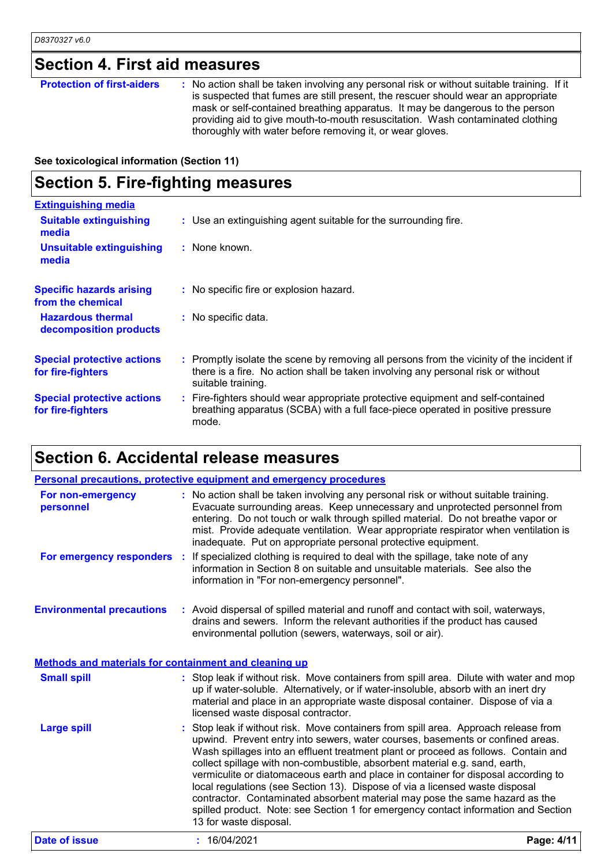# **Section 4. First aid measures**

| <b>Protection of first-aiders</b> | : No action shall be taken involving any personal risk or without suitable training. If it<br>is suspected that fumes are still present, the rescuer should wear an appropriate<br>mask or self-contained breathing apparatus. It may be dangerous to the person<br>providing aid to give mouth-to-mouth resuscitation. Wash contaminated clothing<br>thoroughly with water before removing it, or wear gloves. |
|-----------------------------------|-----------------------------------------------------------------------------------------------------------------------------------------------------------------------------------------------------------------------------------------------------------------------------------------------------------------------------------------------------------------------------------------------------------------|
|-----------------------------------|-----------------------------------------------------------------------------------------------------------------------------------------------------------------------------------------------------------------------------------------------------------------------------------------------------------------------------------------------------------------------------------------------------------------|

**See toxicological information (Section 11)**

### **Section 5. Fire-fighting measures**

| <b>Extinguishing media</b>                             |                                                                                                                                                                                                     |
|--------------------------------------------------------|-----------------------------------------------------------------------------------------------------------------------------------------------------------------------------------------------------|
| <b>Suitable extinguishing</b><br>media                 | : Use an extinguishing agent suitable for the surrounding fire.                                                                                                                                     |
| <b>Unsuitable extinguishing</b><br>media               | : None known.                                                                                                                                                                                       |
| <b>Specific hazards arising</b><br>from the chemical   | : No specific fire or explosion hazard.                                                                                                                                                             |
| <b>Hazardous thermal</b><br>decomposition products     | : No specific data.                                                                                                                                                                                 |
| <b>Special protective actions</b><br>for fire-fighters | : Promptly isolate the scene by removing all persons from the vicinity of the incident if<br>there is a fire. No action shall be taken involving any personal risk or without<br>suitable training. |
| <b>Special protective actions</b><br>for fire-fighters | : Fire-fighters should wear appropriate protective equipment and self-contained<br>breathing apparatus (SCBA) with a full face-piece operated in positive pressure<br>mode.                         |

## **Section 6. Accidental release measures**

|                                                       | <b>Personal precautions, protective equipment and emergency procedures</b>                                                                                                                                                                                                                                                                                                                                                                                                                                                                                                                                                                                                                                    |            |
|-------------------------------------------------------|---------------------------------------------------------------------------------------------------------------------------------------------------------------------------------------------------------------------------------------------------------------------------------------------------------------------------------------------------------------------------------------------------------------------------------------------------------------------------------------------------------------------------------------------------------------------------------------------------------------------------------------------------------------------------------------------------------------|------------|
| For non-emergency<br>personnel                        | : No action shall be taken involving any personal risk or without suitable training.<br>Evacuate surrounding areas. Keep unnecessary and unprotected personnel from<br>entering. Do not touch or walk through spilled material. Do not breathe vapor or<br>mist. Provide adequate ventilation. Wear appropriate respirator when ventilation is<br>inadequate. Put on appropriate personal protective equipment.                                                                                                                                                                                                                                                                                               |            |
|                                                       | For emergency responders : If specialized clothing is required to deal with the spillage, take note of any<br>information in Section 8 on suitable and unsuitable materials. See also the<br>information in "For non-emergency personnel".                                                                                                                                                                                                                                                                                                                                                                                                                                                                    |            |
| <b>Environmental precautions</b>                      | : Avoid dispersal of spilled material and runoff and contact with soil, waterways,<br>drains and sewers. Inform the relevant authorities if the product has caused<br>environmental pollution (sewers, waterways, soil or air).                                                                                                                                                                                                                                                                                                                                                                                                                                                                               |            |
| Methods and materials for containment and cleaning up |                                                                                                                                                                                                                                                                                                                                                                                                                                                                                                                                                                                                                                                                                                               |            |
| <b>Small spill</b>                                    | : Stop leak if without risk. Move containers from spill area. Dilute with water and mop<br>up if water-soluble. Alternatively, or if water-insoluble, absorb with an inert dry<br>material and place in an appropriate waste disposal container. Dispose of via a<br>licensed waste disposal contractor.                                                                                                                                                                                                                                                                                                                                                                                                      |            |
| <b>Large spill</b>                                    | Stop leak if without risk. Move containers from spill area. Approach release from<br>upwind. Prevent entry into sewers, water courses, basements or confined areas.<br>Wash spillages into an effluent treatment plant or proceed as follows. Contain and<br>collect spillage with non-combustible, absorbent material e.g. sand, earth,<br>vermiculite or diatomaceous earth and place in container for disposal according to<br>local regulations (see Section 13). Dispose of via a licensed waste disposal<br>contractor. Contaminated absorbent material may pose the same hazard as the<br>spilled product. Note: see Section 1 for emergency contact information and Section<br>13 for waste disposal. |            |
| <b>Date of issue</b>                                  | : 16/04/2021                                                                                                                                                                                                                                                                                                                                                                                                                                                                                                                                                                                                                                                                                                  | Page: 4/11 |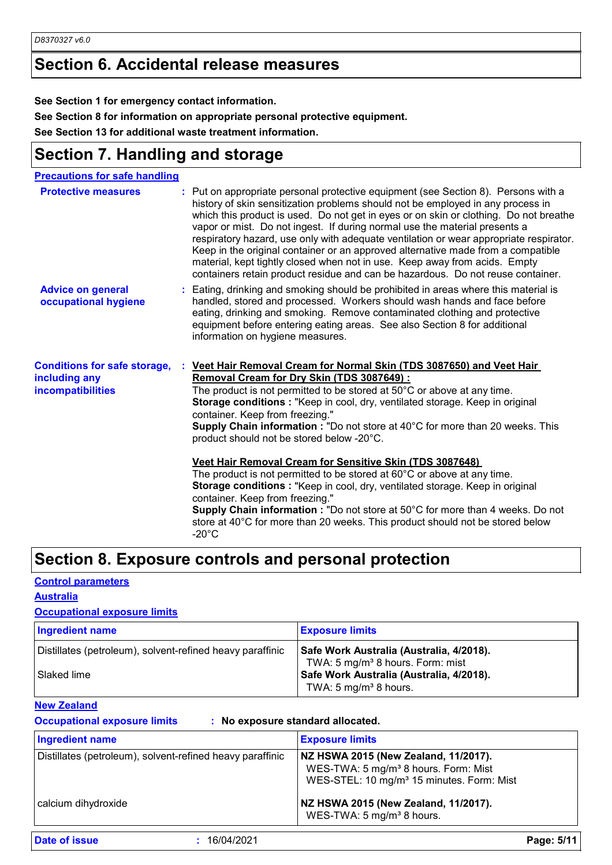### **Section 6. Accidental release measures**

**See Section 1 for emergency contact information.**

**See Section 8 for information on appropriate personal protective equipment.**

**See Section 13 for additional waste treatment information.**

### **Section 7. Handling and storage**

| <b>Precautions for safe handling</b>                                             |                                                                                                                                                                                                                                                                                                                                                                                                                                                                                                                                                                                                                                                                                                                                                                                                                                                                                             |
|----------------------------------------------------------------------------------|---------------------------------------------------------------------------------------------------------------------------------------------------------------------------------------------------------------------------------------------------------------------------------------------------------------------------------------------------------------------------------------------------------------------------------------------------------------------------------------------------------------------------------------------------------------------------------------------------------------------------------------------------------------------------------------------------------------------------------------------------------------------------------------------------------------------------------------------------------------------------------------------|
| <b>Protective measures</b>                                                       | Put on appropriate personal protective equipment (see Section 8). Persons with a<br>history of skin sensitization problems should not be employed in any process in<br>which this product is used. Do not get in eyes or on skin or clothing. Do not breathe<br>vapor or mist. Do not ingest. If during normal use the material presents a<br>respiratory hazard, use only with adequate ventilation or wear appropriate respirator.<br>Keep in the original container or an approved alternative made from a compatible<br>material, kept tightly closed when not in use. Keep away from acids. Empty<br>containers retain product residue and can be hazardous. Do not reuse container.                                                                                                                                                                                                   |
| <b>Advice on general</b><br>occupational hygiene                                 | : Eating, drinking and smoking should be prohibited in areas where this material is<br>handled, stored and processed. Workers should wash hands and face before<br>eating, drinking and smoking. Remove contaminated clothing and protective<br>equipment before entering eating areas. See also Section 8 for additional<br>information on hygiene measures.                                                                                                                                                                                                                                                                                                                                                                                                                                                                                                                               |
| <b>Conditions for safe storage,</b><br>including any<br><b>incompatibilities</b> | Veet Hair Removal Cream for Normal Skin (TDS 3087650) and Veet Hair<br>Removal Cream for Dry Skin (TDS 3087649):<br>The product is not permitted to be stored at 50°C or above at any time.<br>Storage conditions : "Keep in cool, dry, ventilated storage. Keep in original<br>container. Keep from freezing."<br><b>Supply Chain information:</b> "Do not store at 40°C for more than 20 weeks. This<br>product should not be stored below -20°C.<br>Veet Hair Removal Cream for Sensitive Skin (TDS 3087648)<br>The product is not permitted to be stored at $60^{\circ}$ C or above at any time.<br>Storage conditions : "Keep in cool, dry, ventilated storage. Keep in original<br>container. Keep from freezing."<br>Supply Chain information : "Do not store at 50°C for more than 4 weeks. Do not<br>store at 40°C for more than 20 weeks. This product should not be stored below |
|                                                                                  | $-20^{\circ}$ C                                                                                                                                                                                                                                                                                                                                                                                                                                                                                                                                                                                                                                                                                                                                                                                                                                                                             |

### **Section 8. Exposure controls and personal protection**

#### **Control parameters**

#### **Australia**

#### **Occupational exposure limits**

| <b>Ingredient name</b>                                                          | <b>Exposure limits</b>                                                                                                                                          |
|---------------------------------------------------------------------------------|-----------------------------------------------------------------------------------------------------------------------------------------------------------------|
| Distillates (petroleum), solvent-refined heavy paraffinic<br><b>Slaked lime</b> | Safe Work Australia (Australia, 4/2018).<br>TWA: 5 mg/m <sup>3</sup> 8 hours. Form: mist<br>Safe Work Australia (Australia, 4/2018).<br>TWA: 5 $mg/m3$ 8 hours. |

#### **New Zealand**

**Occupational exposure limits : No exposure standard allocated.**

| <b>Ingredient name</b>                                    | <b>Exposure limits</b>                                                                                                                            |
|-----------------------------------------------------------|---------------------------------------------------------------------------------------------------------------------------------------------------|
| Distillates (petroleum), solvent-refined heavy paraffinic | NZ HSWA 2015 (New Zealand, 11/2017).<br>WES-TWA: 5 mg/m <sup>3</sup> 8 hours. Form: Mist<br>WES-STEL: 10 mg/m <sup>3</sup> 15 minutes. Form: Mist |
| calcium dihydroxide                                       | NZ HSWA 2015 (New Zealand, 11/2017).<br>WES-TWA: 5 mg/m <sup>3</sup> 8 hours.                                                                     |

**Date of issue :** 16/04/2021 **Page: 5/11**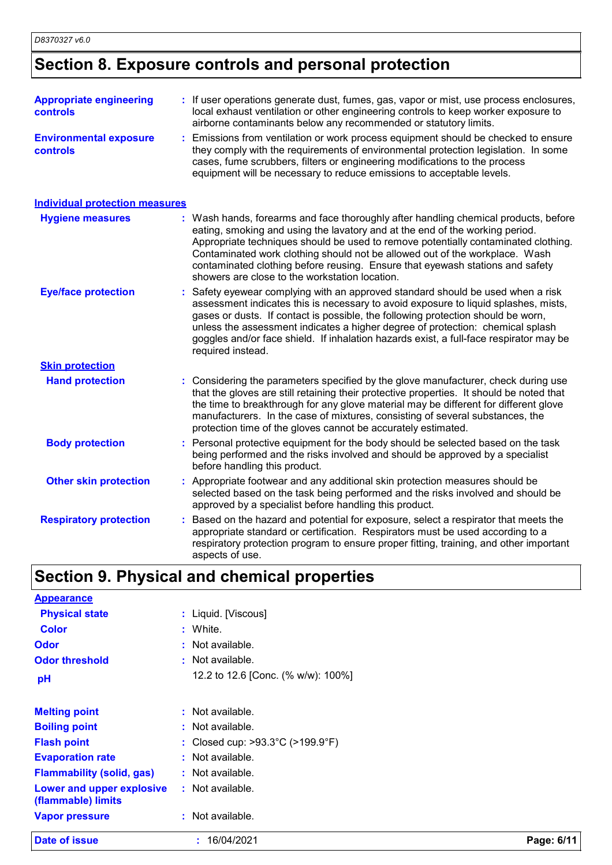# **Section 8. Exposure controls and personal protection**

| <b>Appropriate engineering</b><br>controls       | : If user operations generate dust, fumes, gas, vapor or mist, use process enclosures,<br>local exhaust ventilation or other engineering controls to keep worker exposure to<br>airborne contaminants below any recommended or statutory limits.                                                                                                                                                                                                                            |
|--------------------------------------------------|-----------------------------------------------------------------------------------------------------------------------------------------------------------------------------------------------------------------------------------------------------------------------------------------------------------------------------------------------------------------------------------------------------------------------------------------------------------------------------|
| <b>Environmental exposure</b><br><b>controls</b> | Emissions from ventilation or work process equipment should be checked to ensure<br>they comply with the requirements of environmental protection legislation. In some<br>cases, fume scrubbers, filters or engineering modifications to the process<br>equipment will be necessary to reduce emissions to acceptable levels.                                                                                                                                               |
| <b>Individual protection measures</b>            |                                                                                                                                                                                                                                                                                                                                                                                                                                                                             |
| <b>Hygiene measures</b>                          | : Wash hands, forearms and face thoroughly after handling chemical products, before<br>eating, smoking and using the lavatory and at the end of the working period.<br>Appropriate techniques should be used to remove potentially contaminated clothing.<br>Contaminated work clothing should not be allowed out of the workplace. Wash<br>contaminated clothing before reusing. Ensure that eyewash stations and safety<br>showers are close to the workstation location. |
| <b>Eye/face protection</b>                       | Safety eyewear complying with an approved standard should be used when a risk<br>assessment indicates this is necessary to avoid exposure to liquid splashes, mists,<br>gases or dusts. If contact is possible, the following protection should be worn,<br>unless the assessment indicates a higher degree of protection: chemical splash<br>goggles and/or face shield. If inhalation hazards exist, a full-face respirator may be<br>required instead.                   |
| <b>Skin protection</b>                           |                                                                                                                                                                                                                                                                                                                                                                                                                                                                             |
| <b>Hand protection</b>                           | : Considering the parameters specified by the glove manufacturer, check during use<br>that the gloves are still retaining their protective properties. It should be noted that<br>the time to breakthrough for any glove material may be different for different glove<br>manufacturers. In the case of mixtures, consisting of several substances, the<br>protection time of the gloves cannot be accurately estimated.                                                    |
| <b>Body protection</b>                           | : Personal protective equipment for the body should be selected based on the task<br>being performed and the risks involved and should be approved by a specialist<br>before handling this product.                                                                                                                                                                                                                                                                         |
| <b>Other skin protection</b>                     | : Appropriate footwear and any additional skin protection measures should be<br>selected based on the task being performed and the risks involved and should be<br>approved by a specialist before handling this product.                                                                                                                                                                                                                                                   |
| <b>Respiratory protection</b>                    | Based on the hazard and potential for exposure, select a respirator that meets the<br>appropriate standard or certification. Respirators must be used according to a<br>respiratory protection program to ensure proper fitting, training, and other important<br>aspects of use.                                                                                                                                                                                           |
|                                                  | <b>Section 9. Physical and chemical properties</b>                                                                                                                                                                                                                                                                                                                                                                                                                          |
| <b>Appearance</b>                                |                                                                                                                                                                                                                                                                                                                                                                                                                                                                             |
| <b>Dhysical state</b>                            | · Liquid Miscoust                                                                                                                                                                                                                                                                                                                                                                                                                                                           |

| Date of issue                                   | : 16/04/2021                                          | Page: 6/11 |
|-------------------------------------------------|-------------------------------------------------------|------------|
| <b>Vapor pressure</b>                           | : Not available.                                      |            |
| Lower and upper explosive<br>(flammable) limits | $:$ Not available.                                    |            |
| <b>Flammability (solid, gas)</b>                | : Not available.                                      |            |
| <b>Evaporation rate</b>                         | $:$ Not available.                                    |            |
| <b>Flash point</b>                              | : Closed cup: $>93.3^{\circ}$ C ( $>199.9^{\circ}$ F) |            |
| <b>Boiling point</b>                            | : Not available.                                      |            |
| <b>Melting point</b>                            | $:$ Not available.                                    |            |
| pH                                              | 12.2 to 12.6 [Conc. (% w/w): 100%]                    |            |
| <b>Odor threshold</b>                           | $:$ Not available.                                    |            |
| <b>Odor</b>                                     | : Not available.                                      |            |
| <b>Color</b>                                    | : White.                                              |            |
| <b>Physical state</b>                           | : Liquid. [Viscous]                                   |            |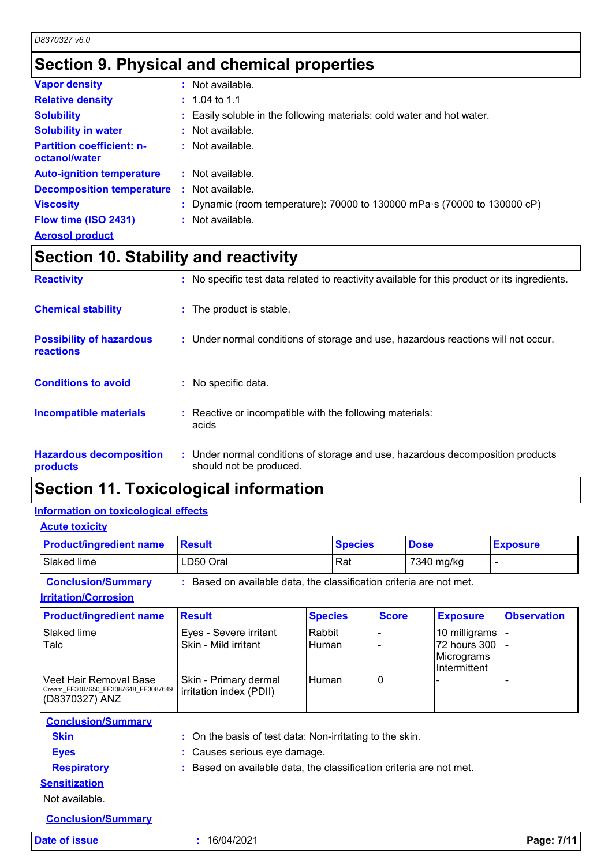### **Section 9. Physical and chemical properties**

| <b>Vapor density</b>                              | : Not available.                                                         |
|---------------------------------------------------|--------------------------------------------------------------------------|
| <b>Relative density</b>                           | $\pm 1.04$ to 1.1                                                        |
| <b>Solubility</b>                                 | : Easily soluble in the following materials: cold water and hot water.   |
| <b>Solubility in water</b>                        | $:$ Not available.                                                       |
| <b>Partition coefficient: n-</b><br>octanol/water | $:$ Not available.                                                       |
| <b>Auto-ignition temperature</b>                  | $:$ Not available.                                                       |
| <b>Decomposition temperature</b>                  | $\therefore$ Not available.                                              |
| <b>Viscosity</b>                                  | : Dynamic (room temperature): 70000 to 130000 mPa s (70000 to 130000 cP) |
| Flow time (ISO 2431)                              | $:$ Not available.                                                       |
| <b>Aerosol product</b>                            |                                                                          |

### **Section 10. Stability and reactivity**

| <b>Reactivity</b>                            | : No specific test data related to reactivity available for this product or its ingredients.              |
|----------------------------------------------|-----------------------------------------------------------------------------------------------------------|
| <b>Chemical stability</b>                    | : The product is stable.                                                                                  |
| <b>Possibility of hazardous</b><br>reactions | : Under normal conditions of storage and use, hazardous reactions will not occur.                         |
| <b>Conditions to avoid</b>                   | : No specific data.                                                                                       |
| <b>Incompatible materials</b>                | : Reactive or incompatible with the following materials:<br>acids                                         |
| <b>Hazardous decomposition</b><br>products   | : Under normal conditions of storage and use, hazardous decomposition products<br>should not be produced. |

### **Section 11. Toxicological information**

### **Information on toxicological effects**

**Acute toxicity**

| <b>Product/ingredient name</b> | ⊪Result   | <b>Species</b> | <b>Dose</b> | <b>Exposure</b> |
|--------------------------------|-----------|----------------|-------------|-----------------|
| Slaked lime                    | LD50 Oral | Rat            | 7340 mg/kg  | -               |
| $\sim$ $\sim$                  | -         |                |             |                 |

**Conclusion/Summary :** Based on available data, the classification criteria are not met.

**Irritation/Corrosion**

| <b>Product/ingredient name</b>                                                  | <b>Result</b>                                    | <b>Species</b>         | <b>Score</b> | <b>Exposure</b>                                                    | <b>Observation</b> |
|---------------------------------------------------------------------------------|--------------------------------------------------|------------------------|--------------|--------------------------------------------------------------------|--------------------|
| Slaked lime<br>Talc                                                             | Eyes - Severe irritant<br>Skin - Mild irritant   | Rabbit<br><b>Human</b> |              | 10 milligrams<br>72 hours 300<br>Micrograms<br><b>Intermittent</b> |                    |
| Veet Hair Removal Base<br>Cream FF3087650 FF3087648 FF3087649<br>(D8370327) ANZ | Skin - Primary dermal<br>irritation index (PDII) | l Human                | 10           |                                                                    |                    |

**Conclusion/Summary Skin :** On the basis of test data: Non-irritating to the skin. **Eyes :** Causes serious eye damage. **Respiratory :** Based on available data, the classification criteria are not met.

### **Sensitization**

Not available.

**Conclusion/Summary**

**Date of issue :** 16/04/2021 **Page: 7/11**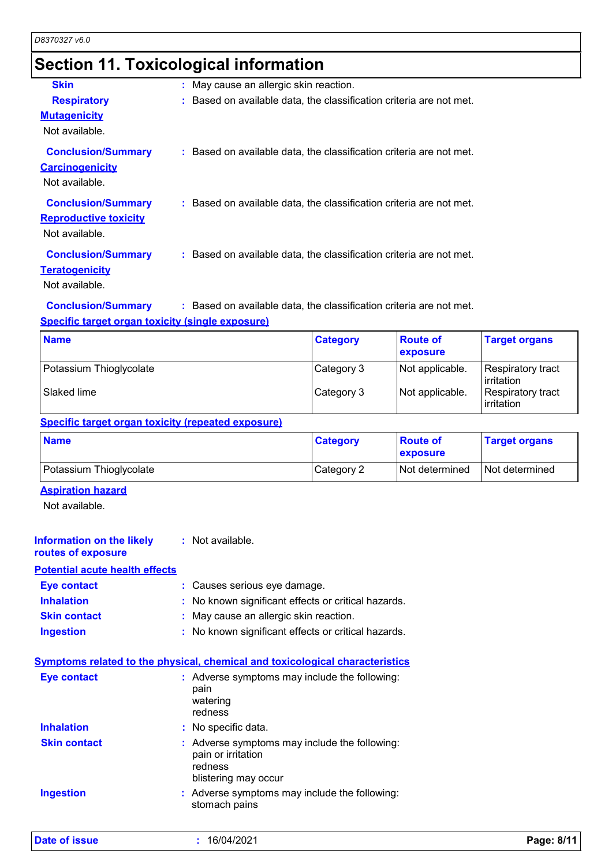### **Section 11. Toxicological information**

| <b>Skin</b>                                                                 | : May cause an allergic skin reaction.                              |
|-----------------------------------------------------------------------------|---------------------------------------------------------------------|
| <b>Respiratory</b>                                                          | : Based on available data, the classification criteria are not met. |
| <b>Mutagenicity</b><br>Not available.                                       |                                                                     |
| <b>Conclusion/Summary</b><br><b>Carcinogenicity</b><br>Not available.       | : Based on available data, the classification criteria are not met. |
| <b>Conclusion/Summary</b><br><b>Reproductive toxicity</b><br>Not available. | : Based on available data, the classification criteria are not met. |
| <b>Conclusion/Summary</b><br><b>Teratogenicity</b><br>Not available.        | : Based on available data, the classification criteria are not met. |

**Conclusion/Summary :** Based on available data, the classification criteria are not met.

#### **Specific target organ toxicity (single exposure)**

| <b>Name</b>             | <b>Category</b> | <b>Route of</b><br>exposure | <b>Target organs</b>            |
|-------------------------|-----------------|-----------------------------|---------------------------------|
| Potassium Thioglycolate | Category 3      | Not applicable.             | Respiratory tract<br>irritation |
| Slaked lime             | Category 3      | Not applicable.             | Respiratory tract<br>irritation |

#### **Specific target organ toxicity (repeated exposure)**

| <b>Name</b>             | <b>Category</b> | <b>Route of</b><br>exposure | ∣Target organs   |
|-------------------------|-----------------|-----------------------------|------------------|
| Potassium Thioglycolate | Category 2      | <b>Not determined</b>       | l Not determined |

#### **Aspiration hazard**

Not available.

| <b>Information on the likely</b><br>routes of exposure | : Not available.                                    |
|--------------------------------------------------------|-----------------------------------------------------|
| <b>Potential acute health effects</b>                  |                                                     |
| <b>Eye contact</b>                                     | : Causes serious eye damage.                        |
| <b>Inhalation</b>                                      | : No known significant effects or critical hazards. |
| <b>Skin contact</b>                                    | : May cause an allergic skin reaction.              |
| <b>Ingestion</b>                                       | : No known significant effects or critical hazards. |

|                     | <b>Symptoms related to the physical, chemical and toxicological characteristics</b> |
|---------------------|-------------------------------------------------------------------------------------|
| Eye contact         | : Adverse symptoms may include the following:<br>pain<br>watering<br>redness        |
| <b>Inhalation</b>   | : No specific data.                                                                 |
| <b>Skin contact</b> | : Adverse symptoms may include the following:                                       |

pain or irritation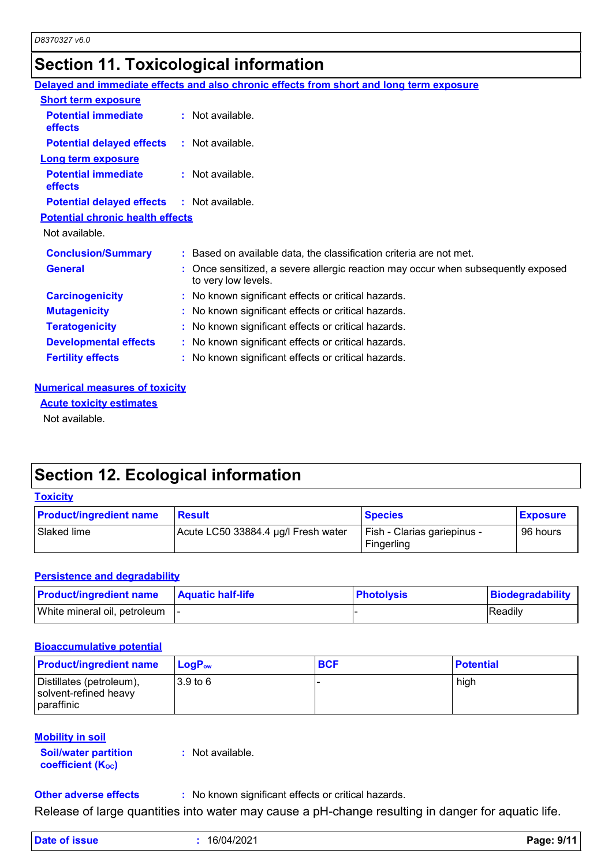### **Section 11. Toxicological information**

|                                                   | Delayed and immediate effects and also chronic effects from short and long term exposure                 |
|---------------------------------------------------|----------------------------------------------------------------------------------------------------------|
| <b>Short term exposure</b>                        |                                                                                                          |
| <b>Potential immediate</b><br><b>effects</b>      | : Not available.                                                                                         |
| <b>Potential delayed effects</b>                  | : Not available.                                                                                         |
| <b>Long term exposure</b>                         |                                                                                                          |
| <b>Potential immediate</b><br>effects             | $:$ Not available.                                                                                       |
| <b>Potential delayed effects : Not available.</b> |                                                                                                          |
| <b>Potential chronic health effects</b>           |                                                                                                          |
| Not available.                                    |                                                                                                          |
| <b>Conclusion/Summary</b>                         | : Based on available data, the classification criteria are not met.                                      |
| <b>General</b>                                    | : Once sensitized, a severe allergic reaction may occur when subsequently exposed<br>to very low levels. |
| <b>Carcinogenicity</b>                            | : No known significant effects or critical hazards.                                                      |
| <b>Mutagenicity</b>                               | : No known significant effects or critical hazards.                                                      |
| <b>Teratogenicity</b>                             | : No known significant effects or critical hazards.                                                      |
| <b>Developmental effects</b>                      | : No known significant effects or critical hazards.                                                      |
| <b>Fertility effects</b>                          | : No known significant effects or critical hazards.                                                      |
|                                                   |                                                                                                          |

#### **Numerical measures of toxicity**

**Acute toxicity estimates**

Not available.

### **Section 12. Ecological information**

#### **Toxicity**

| <b>Product/ingredient name</b> | Result                              | <b>Species</b>                            | <b>Exposure</b> |
|--------------------------------|-------------------------------------|-------------------------------------------|-----------------|
| Slaked lime                    | Acute LC50 33884.4 µg/l Fresh water | Fish - Clarias gariepinus -<br>Fingerling | 96 hours        |

#### **Persistence and degradability**

| <b>Product/ingredient name</b>  | <b>Aquatic half-life</b> | <b>Photolysis</b> | Biodegradability |
|---------------------------------|--------------------------|-------------------|------------------|
| White mineral oil, petroleum  - |                          |                   | <b>Readily</b>   |

### **Bioaccumulative potential**

| <b>Product/ingredient name</b>                                  | <b>LogP</b> <sub>ow</sub> | <b>BCF</b> | <b>Potential</b> |
|-----------------------------------------------------------------|---------------------------|------------|------------------|
| Distillates (petroleum),<br>solvent-refined heavy<br>paraffinic | 13.9 to 6                 |            | high             |

#### **Mobility in soil**

**Soil/water partition coefficient (Koc)** 

**:** Not available.

**Other adverse effects** : No known significant effects or critical hazards.

Release of large quantities into water may cause a pH-change resulting in danger for aquatic life.

| Date of issue | 16/04/2021 | Page: 9/11 |
|---------------|------------|------------|
|---------------|------------|------------|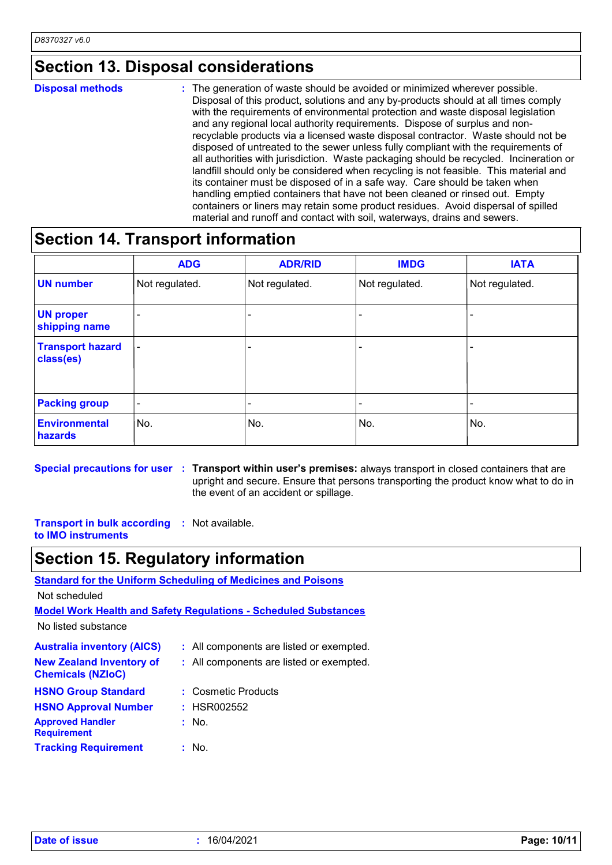### **Section 13. Disposal considerations**

#### The generation of waste should be avoided or minimized wherever possible. Disposal of this product, solutions and any by-products should at all times comply with the requirements of environmental protection and waste disposal legislation and any regional local authority requirements. Dispose of surplus and nonrecyclable products via a licensed waste disposal contractor. Waste should not be disposed of untreated to the sewer unless fully compliant with the requirements of all authorities with jurisdiction. Waste packaging should be recycled. Incineration or landfill should only be considered when recycling is not feasible. This material and its container must be disposed of in a safe way. Care should be taken when handling emptied containers that have not been cleaned or rinsed out. Empty containers or liners may retain some product residues. Avoid dispersal of spilled material and runoff and contact with soil, waterways, drains and sewers. **Disposal methods :**

### **Section 14. Transport information**

|                                      | <b>ADG</b>               | <b>ADR/RID</b>           | <b>IMDG</b>              | <b>IATA</b>              |
|--------------------------------------|--------------------------|--------------------------|--------------------------|--------------------------|
| <b>UN number</b>                     | Not regulated.           | Not regulated.           | Not regulated.           | Not regulated.           |
| <b>UN proper</b><br>shipping name    |                          |                          |                          | $\overline{\phantom{0}}$ |
| <b>Transport hazard</b><br>class(es) | $\overline{\phantom{a}}$ | -                        |                          | $\overline{\phantom{0}}$ |
| <b>Packing group</b>                 | $\overline{\phantom{a}}$ | $\overline{\phantom{0}}$ | $\overline{\phantom{0}}$ |                          |
| <b>Environmental</b><br>hazards      | No.                      | No.                      | No.                      | No.                      |

**Special precautions for user** : Transport within user's premises: always transport in closed containers that are upright and secure. Ensure that persons transporting the product know what to do in the event of an accident or spillage.

**Transport in bulk according :** Not available. **to IMO instruments**

### **Section 15. Regulatory information**

**Standard for the Uniform Scheduling of Medicines and Poisons**

Not scheduled

**Model Work Health and Safety Regulations - Scheduled Substances**

No listed substance

| <b>Australia inventory (AICS)</b>                           | : All components are listed or exempted. |
|-------------------------------------------------------------|------------------------------------------|
| <b>New Zealand Inventory of</b><br><b>Chemicals (NZIoC)</b> | : All components are listed or exempted. |
| <b>HSNO Group Standard</b>                                  | : Cosmetic Products                      |
| <b>HSNO Approval Number</b>                                 | : HSR002552                              |
| <b>Approved Handler</b><br><b>Requirement</b>               | : No.                                    |
| <b>Tracking Requirement</b>                                 | : No.                                    |